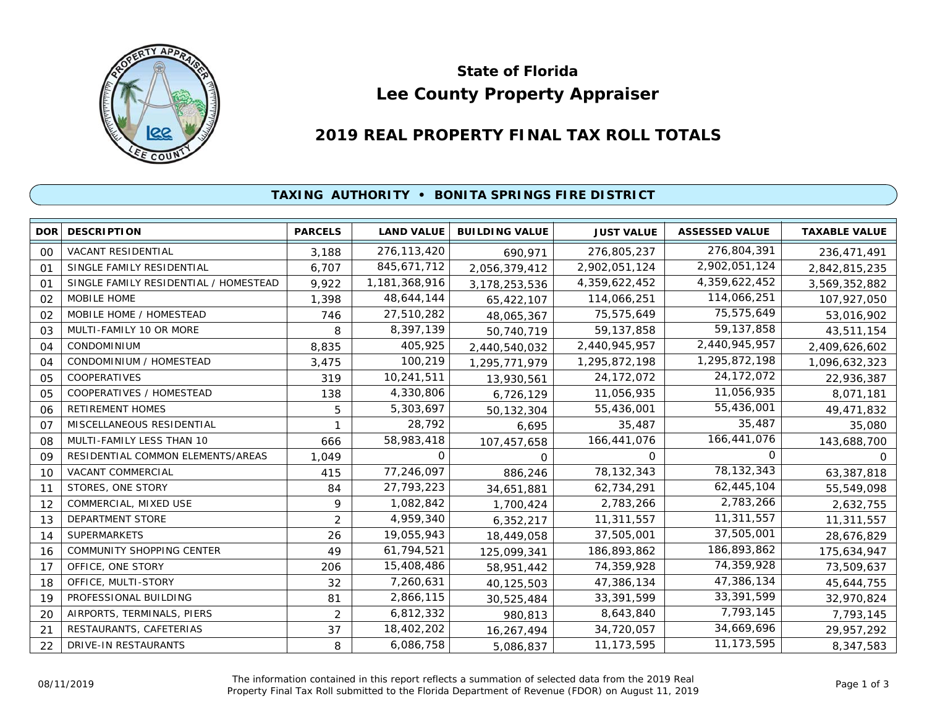

# **Lee County Property Appraiser State of Florida**

# **2019 REAL PROPERTY FINAL TAX ROLL TOTALS**

#### **TAXING AUTHORITY • BONITA SPRINGS FIRE DISTRICT**

| <b>DOR</b>     | <b>DESCRIPTION</b>                    | <b>PARCELS</b> | <b>LAND VALUE</b> | <b>BUILDING VALUE</b> | <b>JUST VALUE</b> | <b>ASSESSED VALUE</b> | <b>TAXABLE VALUE</b> |
|----------------|---------------------------------------|----------------|-------------------|-----------------------|-------------------|-----------------------|----------------------|
| 00             | <b>VACANT RESIDENTIAL</b>             | 3,188          | 276, 113, 420     | 690,971               | 276,805,237       | 276,804,391           | 236,471,491          |
| 01             | SINGLE FAMILY RESIDENTIAL             | 6,707          | 845,671,712       | 2,056,379,412         | 2,902,051,124     | 2,902,051,124         | 2,842,815,235        |
| 01             | SINGLE FAMILY RESIDENTIAL / HOMESTEAD | 9,922          | 1,181,368,916     | 3,178,253,536         | 4,359,622,452     | 4,359,622,452         | 3,569,352,882        |
| 02             | MOBILE HOME                           | 1,398          | 48,644,144        | 65,422,107            | 114,066,251       | 114,066,251           | 107,927,050          |
| 02             | MOBILE HOME / HOMESTEAD               | 746            | 27,510,282        | 48,065,367            | 75,575,649        | 75,575,649            | 53,016,902           |
| 03             | MULTI-FAMILY 10 OR MORE               | 8              | 8,397,139         | 50,740,719            | 59, 137, 858      | 59, 137, 858          | 43,511,154           |
| 04             | <b>CONDOMINIUM</b>                    | 8,835          | 405,925           | 2,440,540,032         | 2,440,945,957     | 2,440,945,957         | 2,409,626,602        |
| 04             | CONDOMINIUM / HOMESTEAD               | 3,475          | 100,219           | 1,295,771,979         | 1,295,872,198     | 1,295,872,198         | 1,096,632,323        |
| 05             | COOPERATIVES                          | 319            | 10,241,511        | 13,930,561            | 24, 172, 072      | 24, 172, 072          | 22,936,387           |
| 05             | COOPERATIVES / HOMESTEAD              | 138            | 4,330,806         | 6,726,129             | 11,056,935        | 11,056,935            | 8,071,181            |
| 06             | <b>RETIREMENT HOMES</b>               | 5              | 5,303,697         | 50,132,304            | 55,436,001        | 55,436,001            | 49,471,832           |
| O <sub>7</sub> | MISCELLANEOUS RESIDENTIAL             |                | 28,792            | 6,695                 | 35,487            | 35,487                | 35,080               |
| 08             | MULTI-FAMILY LESS THAN 10             | 666            | 58,983,418        | 107,457,658           | 166,441,076       | 166,441,076           | 143,688,700          |
| 09             | RESIDENTIAL COMMON ELEMENTS/AREAS     | 1,049          | O                 | $\Omega$              | 0                 | 0                     | 0                    |
| 10             | <b>VACANT COMMERCIAL</b>              | 415            | 77,246,097        | 886,246               | 78, 132, 343      | 78,132,343            | 63,387,818           |
| 11             | STORES, ONE STORY                     | 84             | 27,793,223        | 34,651,881            | 62,734,291        | 62,445,104            | 55,549,098           |
| 12             | COMMERCIAL, MIXED USE                 | 9              | 1,082,842         | 1,700,424             | 2,783,266         | 2,783,266             | 2,632,755            |
| 13             | DEPARTMENT STORE                      | 2              | 4,959,340         | 6,352,217             | 11,311,557        | 11,311,557            | 11,311,557           |
| 14             | <b>SUPERMARKETS</b>                   | 26             | 19,055,943        | 18,449,058            | 37,505,001        | 37,505,001            | 28,676,829           |
| 16             | <b>COMMUNITY SHOPPING CENTER</b>      | 49             | 61,794,521        | 125,099,341           | 186,893,862       | 186,893,862           | 175,634,947          |
| 17             | OFFICE, ONE STORY                     | 206            | 15,408,486        | 58,951,442            | 74,359,928        | 74,359,928            | 73,509,637           |
| 18             | OFFICE, MULTI-STORY                   | 32             | 7,260,631         | 40,125,503            | 47,386,134        | 47,386,134            | 45,644,755           |
| 19             | PROFESSIONAL BUILDING                 | 81             | 2,866,115         | 30,525,484            | 33,391,599        | 33,391,599            | 32,970,824           |
| 20             | AIRPORTS, TERMINALS, PIERS            | $\overline{2}$ | 6,812,332         | 980,813               | 8,643,840         | 7,793,145             | 7,793,145            |
| 21             | RESTAURANTS, CAFETERIAS               | 37             | 18,402,202        | 16,267,494            | 34,720,057        | 34,669,696            | 29,957,292           |
| 22             | DRIVE-IN RESTAURANTS                  | 8              | 6,086,758         | 5,086,837             | 11, 173, 595      | 11, 173, 595          | 8,347,583            |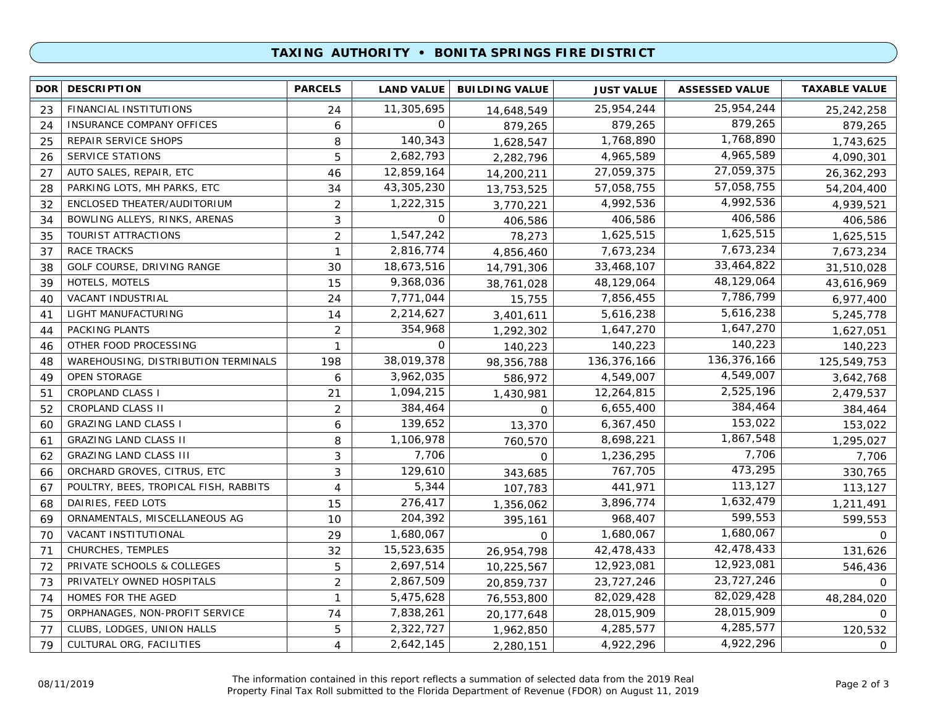## **TAXING AUTHORITY • BONITA SPRINGS FIRE DISTRICT**

| <b>DOR</b> | <b>DESCRIPTION</b>                    | <b>PARCELS</b> | <b>LAND VALUE</b> | <b>BUILDING VALUE</b> | <b>JUST VALUE</b> | <b>ASSESSED VALUE</b> | <b>TAXABLE VALUE</b> |
|------------|---------------------------------------|----------------|-------------------|-----------------------|-------------------|-----------------------|----------------------|
| 23         | FINANCIAL INSTITUTIONS                | 24             | 11,305,695        | 14,648,549            | 25,954,244        | 25,954,244            | 25,242,258           |
| 24         | INSURANCE COMPANY OFFICES             | 6              | 0                 | 879,265               | 879,265           | 879,265               | 879,265              |
| 25         | REPAIR SERVICE SHOPS                  | 8              | 140,343           | 1,628,547             | 1,768,890         | 1,768,890             | 1,743,625            |
| 26         | <b>SERVICE STATIONS</b>               | 5              | 2,682,793         | 2,282,796             | 4,965,589         | 4,965,589             | 4,090,301            |
| 27         | AUTO SALES, REPAIR, ETC               | 46             | 12,859,164        | 14,200,211            | 27,059,375        | 27,059,375            | 26,362,293           |
| 28         | PARKING LOTS, MH PARKS, ETC           | 34             | 43,305,230        | 13,753,525            | 57,058,755        | 57,058,755            | 54,204,400           |
| 32         | ENCLOSED THEATER/AUDITORIUM           | $\overline{2}$ | 1,222,315         | 3,770,221             | 4,992,536         | 4,992,536             | 4,939,521            |
| 34         | BOWLING ALLEYS, RINKS, ARENAS         | 3              | $\Omega$          | 406,586               | 406,586           | 406,586               | 406,586              |
| 35         | TOURIST ATTRACTIONS                   | 2              | 1,547,242         | 78,273                | 1,625,515         | 1,625,515             | 1,625,515            |
| 37         | <b>RACE TRACKS</b>                    | $\mathbf{1}$   | 2,816,774         | 4,856,460             | 7,673,234         | 7,673,234             | 7,673,234            |
| 38         | GOLF COURSE, DRIVING RANGE            | 30             | 18,673,516        | 14,791,306            | 33,468,107        | 33,464,822            | 31,510,028           |
| 39         | HOTELS, MOTELS                        | 15             | 9,368,036         | 38,761,028            | 48,129,064        | 48,129,064            | 43,616,969           |
| 40         | <b>VACANT INDUSTRIAL</b>              | 24             | 7,771,044         | 15,755                | 7,856,455         | 7,786,799             | 6,977,400            |
| 41         | LIGHT MANUFACTURING                   | 14             | 2,214,627         | 3,401,611             | 5,616,238         | 5,616,238             | 5,245,778            |
| 44         | PACKING PLANTS                        | $\overline{c}$ | 354,968           | 1,292,302             | 1,647,270         | 1,647,270             | 1,627,051            |
| 46         | OTHER FOOD PROCESSING                 | 1              | 0                 | 140,223               | 140,223           | 140,223               | 140,223              |
| 48         | WAREHOUSING, DISTRIBUTION TERMINALS   | 198            | 38,019,378        | 98,356,788            | 136,376,166       | 136,376,166           | 125,549,753          |
| 49         | <b>OPEN STORAGE</b>                   | 6              | 3,962,035         | 586,972               | 4,549,007         | 4,549,007             | 3,642,768            |
| 51         | <b>CROPLAND CLASS I</b>               | 21             | 1,094,215         | 1,430,981             | 12,264,815        | 2,525,196             | 2,479,537            |
| 52         | <b>CROPLAND CLASS II</b>              | $\overline{2}$ | 384,464           | $\Omega$              | 6,655,400         | 384,464               | 384,464              |
| 60         | <b>GRAZING LAND CLASS I</b>           | 6              | 139,652           | 13,370                | 6,367,450         | 153,022               | 153,022              |
| 61         | <b>GRAZING LAND CLASS II</b>          | 8              | 1,106,978         | 760,570               | 8,698,221         | 1,867,548             | 1,295,027            |
| 62         | <b>GRAZING LAND CLASS III</b>         | 3              | 7,706             | $\mathbf 0$           | 1,236,295         | 7,706                 | 7,706                |
| 66         | ORCHARD GROVES, CITRUS, ETC           | 3              | 129,610           | 343,685               | 767,705           | 473,295               | 330,765              |
| 67         | POULTRY, BEES, TROPICAL FISH, RABBITS | 4              | 5,344             | 107,783               | 441,971           | 113,127               | 113,127              |
| 68         | DAIRIES, FEED LOTS                    | 15             | 276,417           | 1,356,062             | 3,896,774         | 1,632,479             | 1,211,491            |
| 69         | ORNAMENTALS, MISCELLANEOUS AG         | 10             | 204,392           | 395,161               | 968,407           | 599,553               | 599,553              |
| 70         | VACANT INSTITUTIONAL                  | 29             | 1,680,067         | 0                     | 1,680,067         | 1,680,067             | $\Omega$             |
| 71         | CHURCHES, TEMPLES                     | 32             | 15,523,635        | 26,954,798            | 42,478,433        | 42,478,433            | 131,626              |
| 72         | PRIVATE SCHOOLS & COLLEGES            | 5              | 2,697,514         | 10,225,567            | 12,923,081        | 12,923,081            | 546,436              |
| 73         | PRIVATELY OWNED HOSPITALS             | $\overline{2}$ | 2,867,509         | 20,859,737            | 23,727,246        | 23,727,246            | $\Omega$             |
| 74         | HOMES FOR THE AGED                    | $\mathbf{1}$   | 5,475,628         | 76,553,800            | 82,029,428        | 82,029,428            | 48,284,020           |
| 75         | ORPHANAGES, NON-PROFIT SERVICE        | 74             | 7,838,261         | 20,177,648            | 28,015,909        | 28,015,909            | $\Omega$             |
| 77         | CLUBS, LODGES, UNION HALLS            | 5              | 2,322,727         | 1,962,850             | 4,285,577         | 4,285,577             | 120,532              |
| 79         | CULTURAL ORG, FACILITIES              | 4              | 2,642,145         | 2,280,151             | 4,922,296         | 4,922,296             | 0                    |